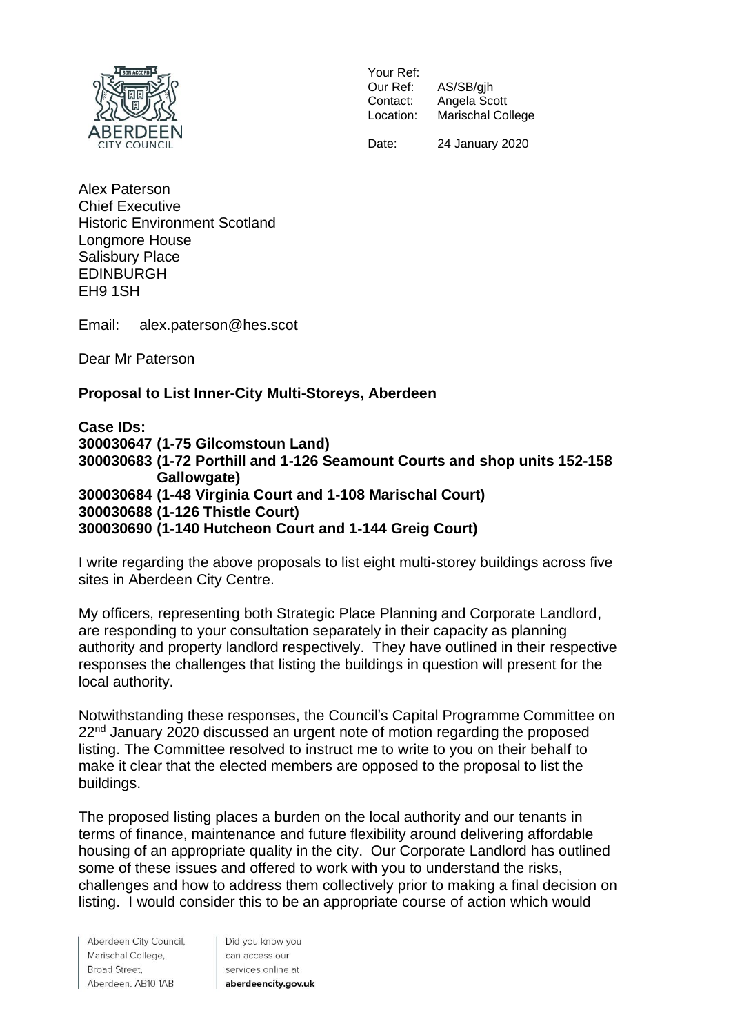

Your Ref:<br>Our Ref: Our Ref: AS/SB/gjh<br>Contact: Angela Sc Contact: Angela Scott<br>Location: Marischal Col Marischal College

Date: 24 January 2020

Alex Paterson Chief Executive Historic Environment Scotland Longmore House Salisbury Place EDINBURGH EH9 1SH

Email: alex.paterson@hes.scot

Dear Mr Paterson

## **Proposal to List Inner-City Multi-Storeys, Aberdeen**

**Case IDs: (1-75 Gilcomstoun Land) (1-72 Porthill and 1-126 Seamount Courts and shop units 152-158 Gallowgate) (1-48 Virginia Court and 1-108 Marischal Court) (1-126 Thistle Court) (1-140 Hutcheon Court and 1-144 Greig Court)**

I write regarding the above proposals to list eight multi-storey buildings across five sites in Aberdeen City Centre.

My officers, representing both Strategic Place Planning and Corporate Landlord, are responding to your consultation separately in their capacity as planning authority and property landlord respectively. They have outlined in their respective responses the challenges that listing the buildings in question will present for the local authority.

Notwithstanding these responses, the Council's Capital Programme Committee on 22<sup>nd</sup> January 2020 discussed an urgent note of motion regarding the proposed listing. The Committee resolved to instruct me to write to you on their behalf to make it clear that the elected members are opposed to the proposal to list the buildings.

The proposed listing places a burden on the local authority and our tenants in terms of finance, maintenance and future flexibility around delivering affordable housing of an appropriate quality in the city. Our Corporate Landlord has outlined some of these issues and offered to work with you to understand the risks, challenges and how to address them collectively prior to making a final decision on listing. I would consider this to be an appropriate course of action which would

Aberdeen City Council, Marischal College, Broad Street. Aberdeen. AB10 1AB

Did you know you can access our services online at aberdeencity.gov.uk